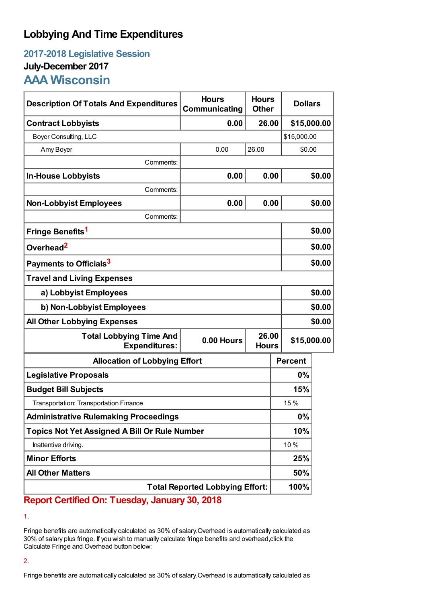# **Lobbying And Time Expenditures**

## **2017-2018 Legislative Session July-December 2017 AAA Wisconsin**

| <b>Description Of Totals And Expenditures</b>          | <b>Hours</b><br>Communicating       | <b>Hours</b><br><b>Other</b> |                | <b>Dollars</b> |  |
|--------------------------------------------------------|-------------------------------------|------------------------------|----------------|----------------|--|
| <b>Contract Lobbyists</b>                              | 0.00                                | 26.00                        |                | \$15,000.00    |  |
| Boyer Consulting, LLC                                  |                                     |                              |                | \$15,000.00    |  |
| Amy Boyer                                              | 0.00                                | 26.00<br>\$0.00              |                |                |  |
| Comments:                                              |                                     |                              |                |                |  |
| <b>In-House Lobbyists</b>                              | 0.00                                | 0.00                         |                | \$0.00         |  |
| Comments:                                              |                                     |                              |                |                |  |
| <b>Non-Lobbyist Employees</b>                          | 0.00                                | 0.00                         |                | \$0.00         |  |
| Comments:                                              |                                     |                              |                |                |  |
| Fringe Benefits <sup>1</sup>                           |                                     |                              | \$0.00         |                |  |
| Overhead <sup>2</sup>                                  |                                     |                              |                | \$0.00         |  |
| Payments to Officials <sup>3</sup>                     |                                     |                              |                | \$0.00         |  |
| <b>Travel and Living Expenses</b>                      |                                     |                              |                |                |  |
| a) Lobbyist Employees                                  |                                     |                              |                | \$0.00         |  |
| b) Non-Lobbyist Employees                              |                                     |                              |                | \$0.00         |  |
| <b>All Other Lobbying Expenses</b>                     |                                     |                              |                | \$0.00         |  |
| <b>Total Lobbying Time And</b><br><b>Expenditures:</b> | 26.00<br>0.00 Hours<br><b>Hours</b> |                              |                | \$15,000.00    |  |
| <b>Allocation of Lobbying Effort</b>                   |                                     |                              | <b>Percent</b> |                |  |
| <b>Legislative Proposals</b>                           |                                     |                              | 0%             |                |  |
| <b>Budget Bill Subjects</b>                            |                                     |                              | 15%            |                |  |
| Transportation: Transportation Finance                 |                                     |                              | 15 %           |                |  |
| <b>Administrative Rulemaking Proceedings</b>           |                                     |                              | 0%             |                |  |
| <b>Topics Not Yet Assigned A Bill Or Rule Number</b>   |                                     |                              | 10%            |                |  |
| Inattentive driving.                                   |                                     |                              | 10 %           |                |  |
| <b>Minor Efforts</b>                                   |                                     |                              | 25%            |                |  |
| <b>All Other Matters</b>                               |                                     |                              | 50%            |                |  |
| <b>Total Reported Lobbying Effort:</b>                 |                                     |                              | 100%           |                |  |

**Report Certified On: Tuesday, January 30, 2018**

1.

Fringe benefits are automatically calculated as 30% of salary.Overhead is automatically calculated as 30% of salary plus fringe. If you wish to manually calculate fringe benefits and overhead,click the Calculate Fringe and Overhead button below:

### 2.

Fringe benefits are automatically calculated as 30% of salary.Overhead is automatically calculated as